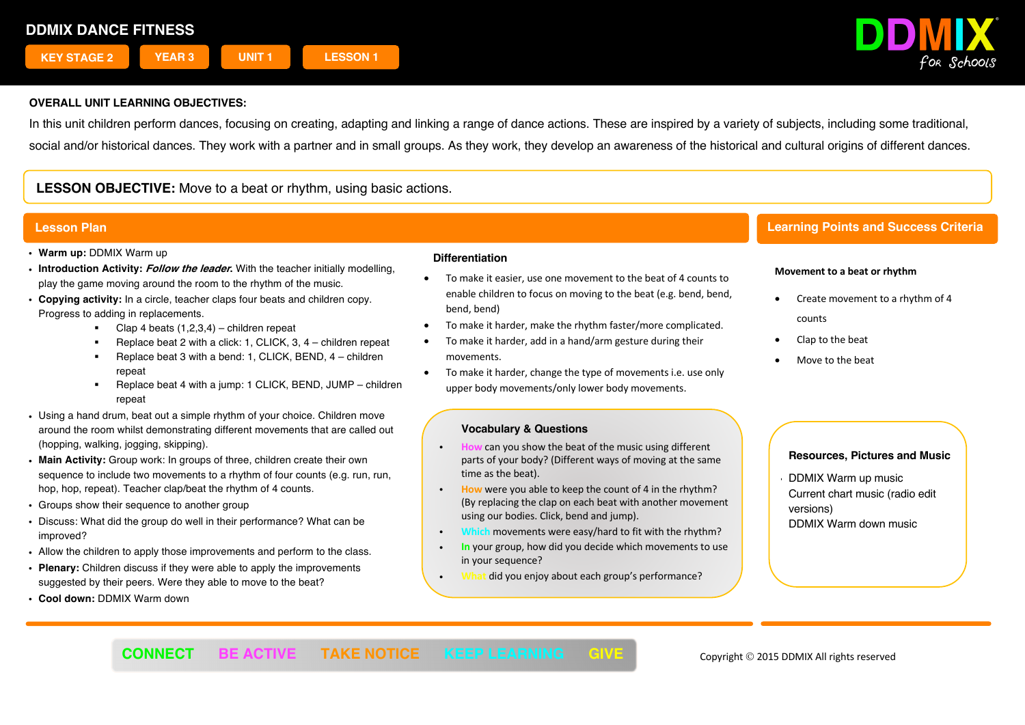

In this unit children perform dances, focusing on creating, adapting and linking a range of dance actions. These are inspired by a variety of subjects, including some traditional, social and/or historical dances. They work with a partner and in small groups. As they work, they develop an awareness of the historical and cultural origins of different dances.

# **LESSON OBJECTIVE:** Move to a beat or rhythm, using basic actions.

# **Lesson Plan**

- ! **Warm up:** DDMIX Warm up
- ! **Introduction Activity: Follow the leader.** With the teacher initially modelling, play the game moving around the room to the rhythm of the music.
- ! **Copying activity:** In a circle, teacher claps four beats and children copy. Progress to adding in replacements.
	- Clap 4 beats  $(1,2,3,4)$  children repeat
	- § Replace beat 2 with a click: 1, CLICK, 3, 4 children repeat
	- § Replace beat 3 with a bend: 1, CLICK, BEND, 4 children repeat
	- Replace beat 4 with a jump: 1 CLICK, BEND, JUMP children repeat
- . Using a hand drum, beat out a simple rhythm of your choice. Children move around the room whilst demonstrating different movements that are called out (hopping, walking, jogging, skipping).
- ! **Main Activity:** Group work: In groups of three, children create their own sequence to include two movements to a rhythm of four counts (e.g. run, run, hop, hop, repeat). Teacher clap/beat the rhythm of 4 counts.
- Groups show their sequence to another group
- . Discuss: What did the group do well in their performance? What can be improved?
- . Allow the children to apply those improvements and perform to the class.
- ! **Plenary:** Children discuss if they were able to apply the improvements suggested by their peers. Were they able to move to the beat?
- ! **Cool down:** DDMIX Warm down

## **Differentiation**

- To make it easier, use one movement to the beat of 4 counts to enable children to focus on moving to the beat (e.g. bend, bend, bend, bend)
- To make it harder, make the rhythm faster/more complicated.
- To make it harder, add in a hand/arm gesture during their movements.
- To make it harder, change the type of movements i.e. use only upper body movements/only lower body movements.

## **Vocabulary & Questions**

- **Can you show the beat of the music using different** parts of your body? (Different ways of moving at the same time as the beat).
- ! **How** were you able to keep the count of 4 in the rhythm? (By replacing the clap on each beat with another movement using our bodies. Click, bend and jump).
- ! **Which** movements were easy/hard to fit with the rhythm?
- ! **In** your group, how did you decide which movements to use in your sequence?
- ! **What** did you enjoy about each group's performance?

# **Learning Points and Success Criteria**

## **Movement to a beat or rhythm**

- Create movement to a rhythm of 4 counts
- Clap to the beat
- Move to the beat

## **Resources, Pictures and Music**

! DDMIX Warm up music Current chart music (radio edit versions) DDMIX Warm down music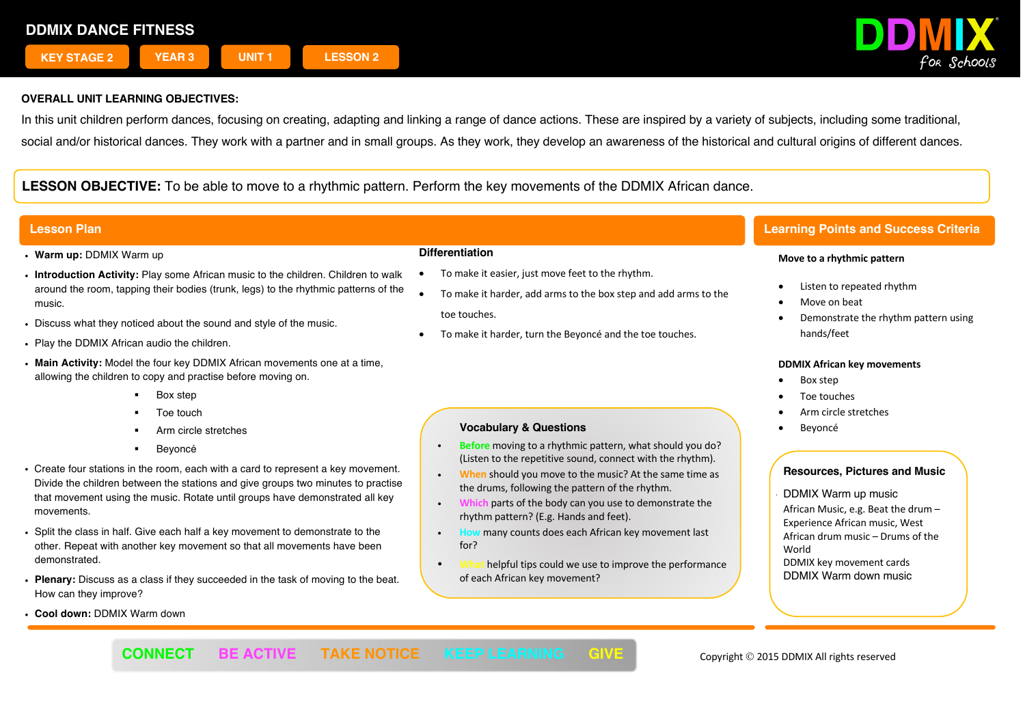

In this unit children perform dances, focusing on creating, adapting and linking a range of dance actions. These are inspired by a variety of subjects, including some traditional, social and/or historical dances. They work with a partner and in small groups. As they work, they develop an awareness of the historical and cultural origins of different dances.

# **LESSON OBJECTIVE:** To be able to move to a rhythmic pattern. Perform the key movements of the DDMIX African dance.

- ! **Warm up:** DDMIX Warm up
- ! **Introduction Activity:** Play some African music to the children. Children to walk around the room, tapping their bodies (trunk, legs) to the rhythmic patterns of the music.
- ! Discuss what they noticed about the sound and style of the music.
- . Play the DDMIX African audio the children.
- ! **Main Activity:** Model the four key DDMIX African movements one at a time, allowing the children to copy and practise before moving on.
	- § Box step
	- § Toe touch
	- § Arm circle stretches
	- § Beyoncé
- ! Create four stations in the room, each with a card to represent a key movement. Divide the children between the stations and give groups two minutes to practise that movement using the music. Rotate until groups have demonstrated all key movements.
- ! Split the class in half. Give each half a key movement to demonstrate to the other. Repeat with another key movement so that all movements have been demonstrated.
- ! **Plenary:** Discuss as a class if they succeeded in the task of moving to the beat. How can they improve?
- ! **Cool down:** DDMIX Warm down

### **Differentiation**

- To make it easier, just move feet to the rhythm.
- To make it harder, add arms to the box step and add arms to the toe touches.
- To make it harder, turn the Beyoncé and the toe touches.

## **Vocabulary & Questions**

- ! **Before** moving to a rhythmic pattern, what should you do? (Listen to the repetitive sound, connect with the rhythm).
- **When** should you move to the music? At the same time as the drums, following the pattern of the rhythm.
- ! **Which** parts of the body can you use to demonstrate the rhythm pattern? (E.g. Hands and feet).
- ! **How** many counts does each African key movement last for?
- helpful tips could we use to improve the performance of each African key movement?

# **Lesson Plan Learning Points and Success Criteria**

### **Move to a rhythmic pattern**

- Listen to repeated rhythm
- Move on beat
- Demonstrate the rhythm pattern using hands/feet

### **DDMIX African key movements**

- Box step
- Toe touches
- Arm circle stretches
- **Beyoncé**

## **Resources, Pictures and Music**

! DDMIX Warm up music African Music, e.g. Beat the drum – Experience African music, West African drum music – Drums of the World DDMIX key movement cards DDMIX Warm down music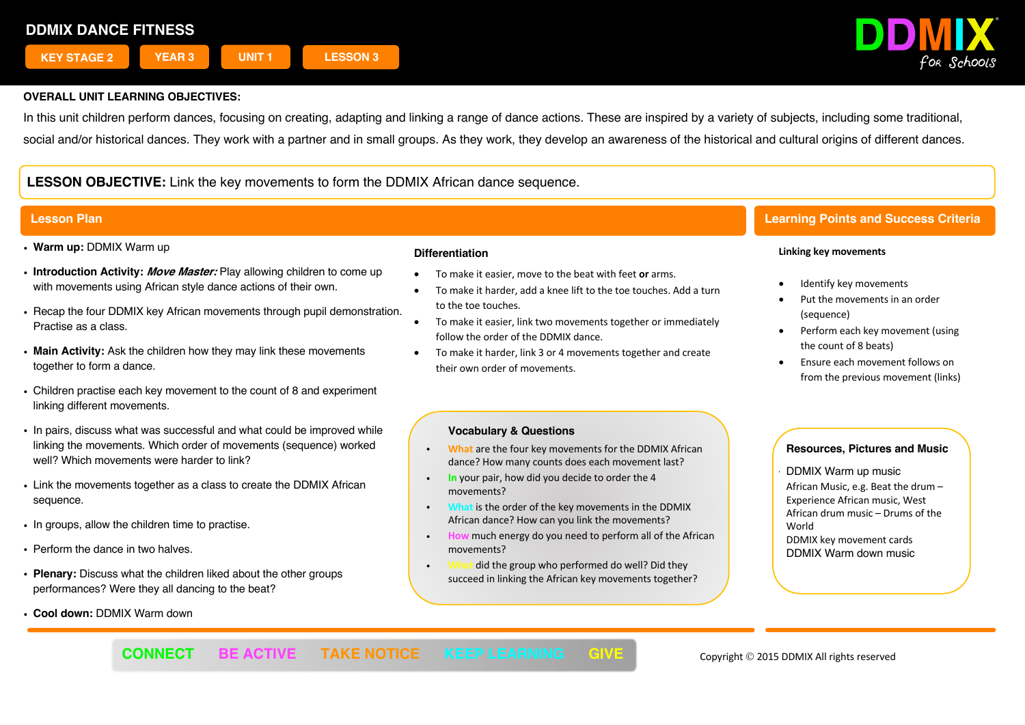

In this unit children perform dances, focusing on creating, adapting and linking a range of dance actions. These are inspired by a variety of subjects, including some traditional, social and/or historical dances. They work with a partner and in small groups. As they work, they develop an awareness of the historical and cultural origins of different dances.

# **LESSON OBJECTIVE:** Link the key movements to form the DDMIX African dance sequence.

- ! **Warm up:** DDMIX Warm up
- ! **Introduction Activity: Move Master:** Play allowing children to come up with movements using African style dance actions of their own.
- . Recap the four DDMIX key African movements through pupil demonstration. Practise as a class.
- ! **Main Activity:** Ask the children how they may link these movements together to form a dance.
- Children practise each key movement to the count of 8 and experiment linking different movements.
- . In pairs, discuss what was successful and what could be improved while linking the movements. Which order of movements (sequence) worked well? Which movements were harder to link?
- . Link the movements together as a class to create the DDMIX African sequence.
- . In groups, allow the children time to practise.
- Perform the dance in two halves.
- ! **Plenary:** Discuss what the children liked about the other groups performances? Were they all dancing to the beat?
- ! **Cool down:** DDMIX Warm down

## **Differentiation**

- To make it easier, move to the beat with feet **or** arms.
- To make it harder, add a knee lift to the toe touches. Add a turn to the toe touches.
- To make it easier, link two movements together or immediately follow the order of the DDMIX dance.
- To make it harder, link 3 or 4 movements together and create their own order of movements.

## **Vocabulary & Questions**

- ! **What** are the four key movements for the DDMIX African dance? How many counts does each movement last?
- ! **In** your pair, how did you decide to order the 4 movements?
- ! **What** is the order of the key movements in the DDMIX African dance? How can you link the movements?
- ! **How** much energy do you need to perform all of the African movements?
- ! **What** did the group who performed do well? Did they succeed in linking the African key movements together?

# **Lesson Plan Learning Points and Success Criteria**

### **Linking key movements**

- Identify key movements
- Put the movements in an order (sequence)
- Perform each key movement (using the count of 8 beats)
- Ensure each movement follows on from the previous movement (links)

# **Resources, Pictures and Music**

! DDMIX Warm up music

African Music, e.g. Beat the drum – Experience African music, West African drum music – Drums of the World DDMIX key movement cards DDMIX Warm down music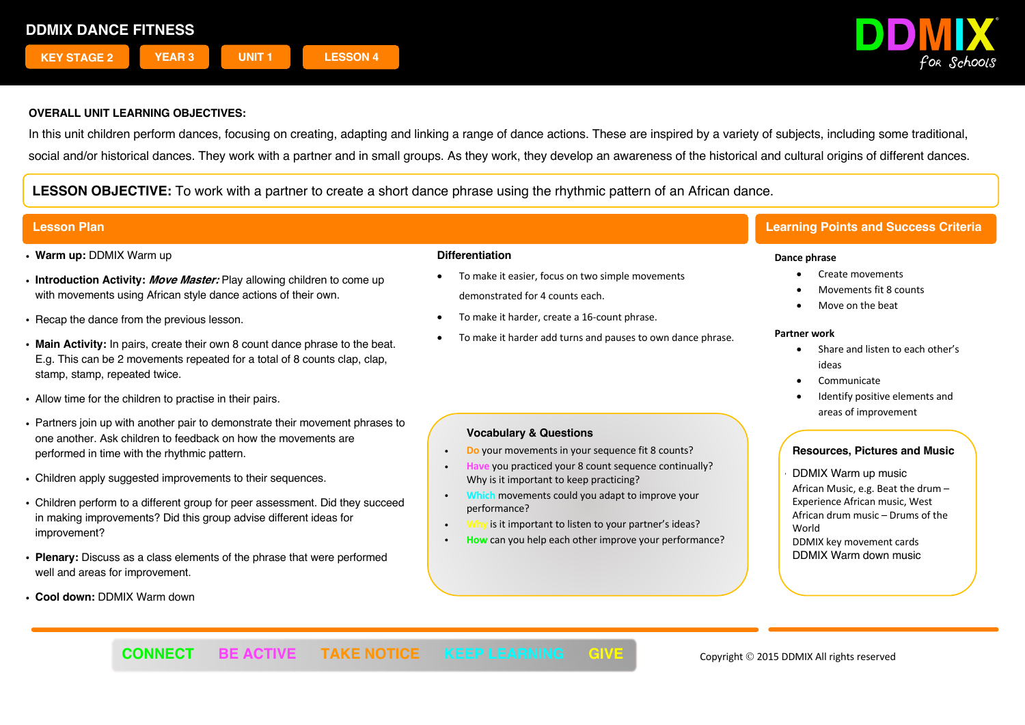

In this unit children perform dances, focusing on creating, adapting and linking a range of dance actions. These are inspired by a variety of subjects, including some traditional, social and/or historical dances. They work with a partner and in small groups. As they work, they develop an awareness of the historical and cultural origins of different dances.

**LESSON OBJECTIVE:** To work with a partner to create a short dance phrase using the rhythmic pattern of an African dance.

- ! **Warm up:** DDMIX Warm up
- ! **Introduction Activity: Move Master:** Play allowing children to come up with movements using African style dance actions of their own.
- . Recap the dance from the previous lesson.
- ! **Main Activity:** In pairs, create their own 8 count dance phrase to the beat. E.g. This can be 2 movements repeated for a total of 8 counts clap, clap, stamp, stamp, repeated twice.
- . Allow time for the children to practise in their pairs.
- ! Partners join up with another pair to demonstrate their movement phrases to one another. Ask children to feedback on how the movements are performed in time with the rhythmic pattern.
- . Children apply suggested improvements to their sequences.
- Children perform to a different group for peer assessment. Did they succeed in making improvements? Did this group advise different ideas for improvement?
- ! **Plenary:** Discuss as a class elements of the phrase that were performed well and areas for improvement.
- ! **Cool down:** DDMIX Warm down

## **Differentiation**

- To make it easier, focus on two simple movements demonstrated for 4 counts each.
- To make it harder, create a 16-count phrase.
- To make it harder add turns and pauses to own dance phrase.

# **Vocabulary & Questions**

- **Do** your movements in your sequence fit 8 counts?
- **P** you practiced your 8 count sequence continually? Why is it important to keep practicing?
- **movements could you adapt to improve your** performance?
- is it important to listen to your partner's ideas?
- ! **How** can you help each other improve your performance?

# **Lesson Plan Learning Points and Success Criteria**

## **Dance phrase**

- Create movements
- Movements fit 8 counts
- Move on the beat

## **Partner work**

- Share and listen to each other's ideas
- **Communicate**
- Identify positive elements and areas of improvement

# **Resources, Pictures and Music**

! DDMIX Warm up music African Music, e.g. Beat the drum – Experience African music, West African drum music – Drums of the World DDMIX key movement cards DDMIX Warm down music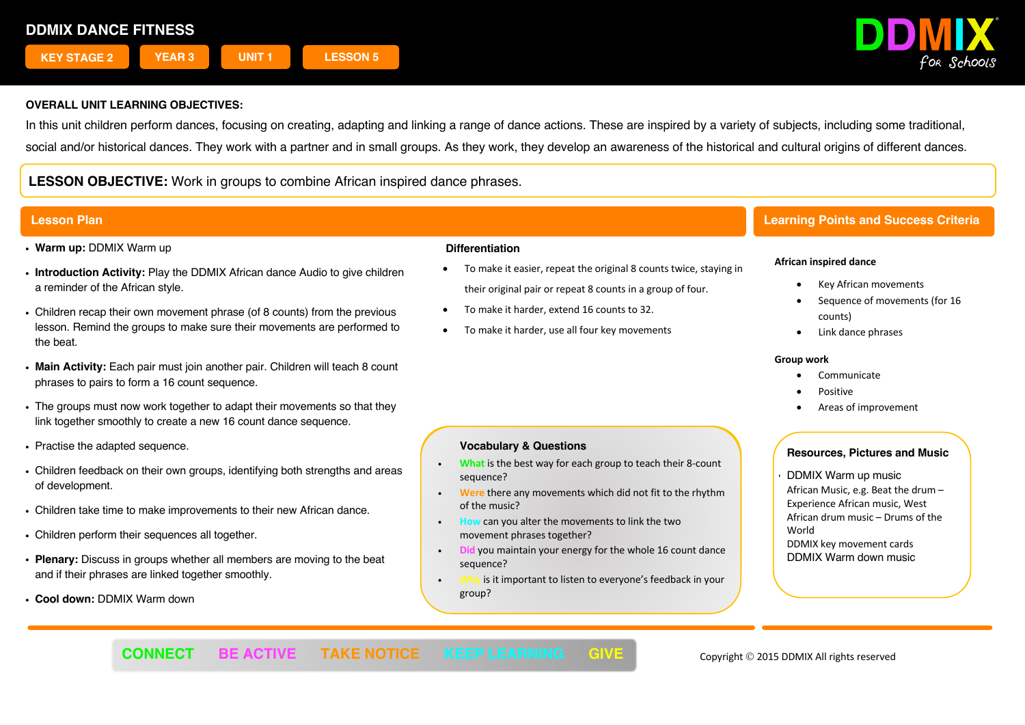

In this unit children perform dances, focusing on creating, adapting and linking a range of dance actions. These are inspired by a variety of subjects, including some traditional, social and/or historical dances. They work with a partner and in small groups. As they work, they develop an awareness of the historical and cultural origins of different dances.

**LESSON OBJECTIVE:** Work in groups to combine African inspired dance phrases.

- ! **Warm up:** DDMIX Warm up
- ! **Introduction Activity:** Play the DDMIX African dance Audio to give children a reminder of the African style.
- . Children recap their own movement phrase (of 8 counts) from the previous lesson. Remind the groups to make sure their movements are performed to the beat.
- ! **Main Activity:** Each pair must join another pair. Children will teach 8 count phrases to pairs to form a 16 count sequence.
- . The groups must now work together to adapt their movements so that they link together smoothly to create a new 16 count dance sequence.
- Practise the adapted sequence.
- . Children feedback on their own groups, identifying both strengths and areas of development.
- . Children take time to make improvements to their new African dance.
- . Children perform their sequences all together.
- ! **Plenary:** Discuss in groups whether all members are moving to the beat and if their phrases are linked together smoothly.
- ! **Cool down:** DDMIX Warm down

### **Differentiation**

- To make it easier, repeat the original 8 counts twice, staying in their original pair or repeat 8 counts in a group of four.
- To make it harder, extend 16 counts to 32.

**Vocabulary & Questions Vocabulary & Questions**

sequence?

sequence?

group?

movement phrases together?

sequence:

• To make it harder, use all four key movements

• What is the best way for each group to teach their 8-count

**Were** there any movements which did not fit to the rhythm **• We are the music?** We are the reduced which did not fit to the rhythm  $\mathbf{r}$  to the rhythm  $\mathbf{r}$ 

 $\cdot$  **Did** you maintain your energy for the whole 16 count dance

! **Why** is it important to listen to everyone's feedback in your

! **How** can you alter the movements to link the two

# **Lesson Plan Learning Points and Success Criteria**

## **African inspired dance**

- Key African movements
- Sequence of movements (for 16 counts)
- Link dance phrases

### **Group work**

- Communicate
- Positive
- Areas of improvement

## **Resources, Pictures and Music**

- ! DDMIX Warm up music
- African Music, e.g. Beat the drum Experience African music, West African drum music – Drums of the World DDMIX key movement cards DDMIX Warm down music

**CONNECT BE ACTIVE TAKE NOTICE KEEP LEARNING GIVE Copyright © 2015 DDMIX All rights reserved**